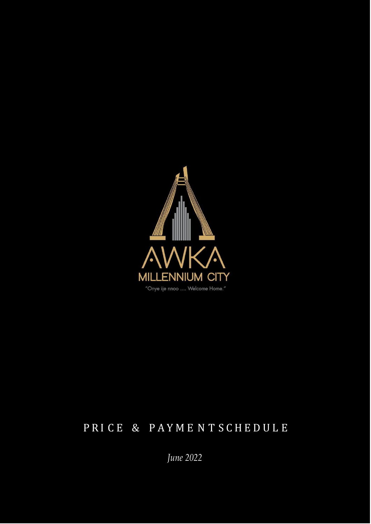

### P R I C E & P A Y M E N T S C H E D U L E

*June 2022*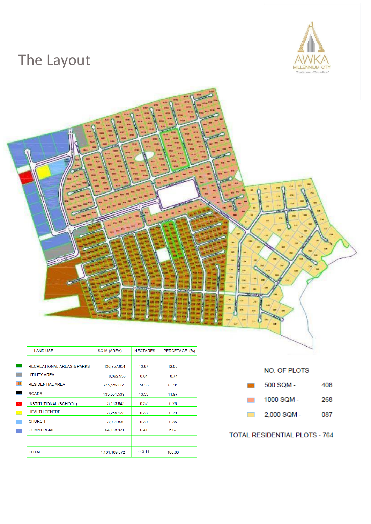### The Layout





|                       | <b>LAND USE</b>                       | SQ M (AREA)   | <b>HECTARES</b> | PERCETAGE (%) |
|-----------------------|---------------------------------------|---------------|-----------------|---------------|
|                       |                                       |               |                 |               |
| $\mathbb{Z}_{\geq 0}$ | <b>RECREATIONAL AREAS &amp; PARKS</b> | 136,757.854   | 13.67           | 12.08         |
| PV.                   | <b>UTILITY AREA</b>                   | 8,392.956     | 0.84            | 0.74          |
| m                     | <b>RESIDENTIAL AREA</b>               | 745,532.061   | 74.55           | 65.91         |
| $\mathbb{R}$          | <b>ROADS</b>                          | 135,551.539   | 13.55           | 11.97         |
| N                     | INSTITUTIONAL (SCHOOL)                | 3,163.843     | 0.32            | 0.28          |
| PS.                   | <b>HEALTH CENTRE</b>                  | 3.255.128     | 0.33            | 0.29          |
| P.                    | <b>CHURCH</b>                         | 3,961.830     | 0.39            | 0.35          |
|                       | <b>COMMERCIAL</b>                     | 64,138.921    | 6.41            | 5.67          |
|                       |                                       |               |                 |               |
|                       | <b>TOTAL</b>                          | 1,131,109.672 | 113.11          | 100.00        |



#### **TOTAL RESIDENTIAL PLOTS - 764**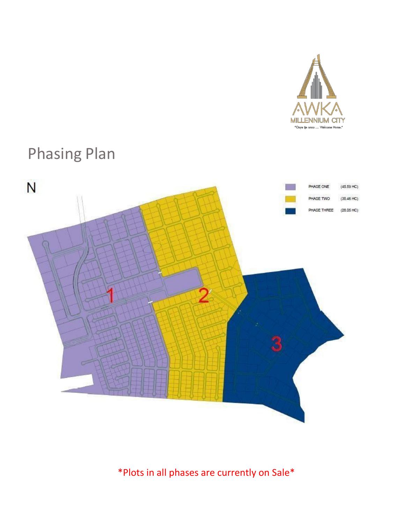

### Phasing Plan



\*Plots in all phases are currently on Sale\*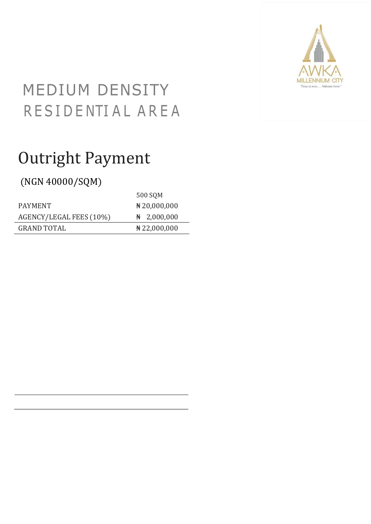

## MEDIUM DENSITY RESIDENTIAL AREA

## Outright Payment

### (NGN 40000/SQM)

|                         | 500 SQM                 |
|-------------------------|-------------------------|
| <b>PAYMENT</b>          | $\#20,000,000$          |
| AGENCY/LEGAL FEES (10%) | $\frac{N}{N}$ 2,000,000 |
| <b>GRAND TOTAL</b>      | $\#$ 22,000,000         |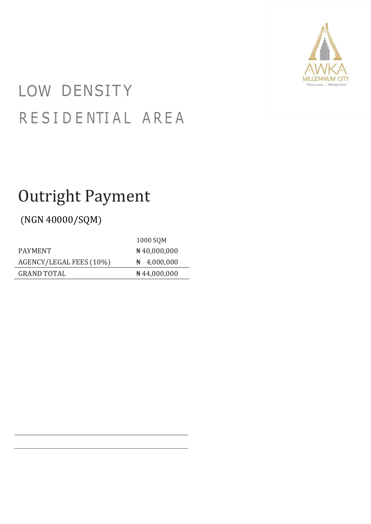

# LOW DENSITY R E S I D E NTI A L A R E A

## Outright Payment

### (NGN 40000/SQM)

|                         | 1000 SQM                |
|-------------------------|-------------------------|
| <b>PAYMENT</b>          | $\#40,000,000$          |
| AGENCY/LEGAL FEES (10%) | $\frac{N}{N}$ 4,000,000 |
| <b>GRAND TOTAL</b>      | $\#$ 44,000,000         |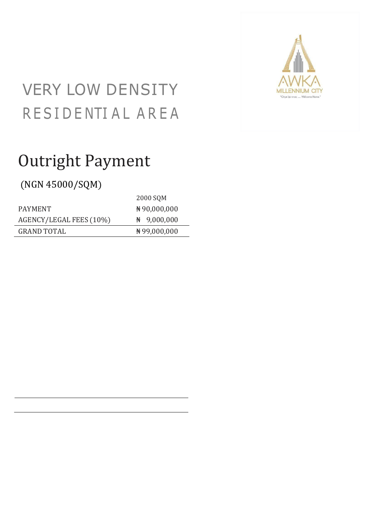

## VERY LOW DENSITY RESIDENTIAL AREA

## Outright Payment

(NGN 45000/SQM)

|                         | 2000 SQM                |
|-------------------------|-------------------------|
| <b>PAYMENT</b>          | ₦90,000,000             |
| AGENCY/LEGAL FEES (10%) | $\frac{N}{N}$ 9,000,000 |
| <b>GRAND TOTAL</b>      | ₦99,000,000             |